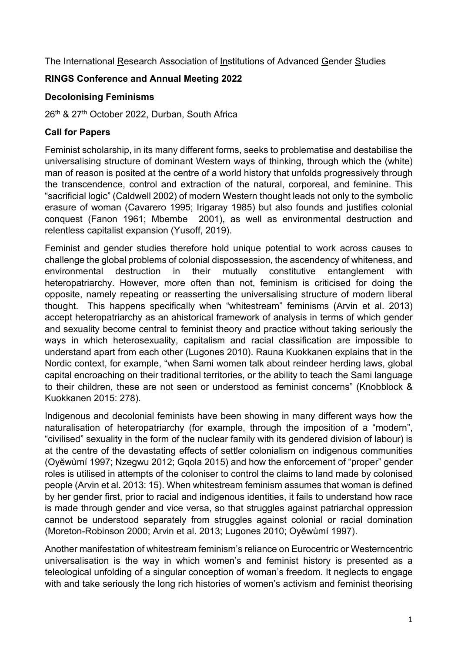The International Research Association of Institutions of Advanced Gender Studies

# **RINGS Conference and Annual Meeting 2022**

### **Decolonising Feminisms**

26<sup>th</sup> & 27<sup>th</sup> October 2022, Durban, South Africa

# **Call for Papers**

Feminist scholarship, in its many different forms, seeks to problematise and destabilise the universalising structure of dominant Western ways of thinking, through which the (white) man of reason is posited at the centre of a world history that unfolds progressively through the transcendence, control and extraction of the natural, corporeal, and feminine. This "sacrificial logic" (Caldwell 2002) of modern Western thought leads not only to the symbolic erasure of woman (Cavarero 1995; Irigaray 1985) but also founds and justifies colonial conquest (Fanon 1961; Mbembe 2001), as well as environmental destruction and relentless capitalist expansion (Yusoff, 2019).

Feminist and gender studies therefore hold unique potential to work across causes to challenge the global problems of colonial dispossession, the ascendency of whiteness, and environmental destruction in their mutually constitutive entanglement with heteropatriarchy. However, more often than not, feminism is criticised for doing the opposite, namely repeating or reasserting the universalising structure of modern liberal thought. This happens specifically when "whitestream" feminisms (Arvin et al. 2013) accept heteropatriarchy as an ahistorical framework of analysis in terms of which gender and sexuality become central to feminist theory and practice without taking seriously the ways in which heterosexuality, capitalism and racial classification are impossible to understand apart from each other (Lugones 2010). Rauna Kuokkanen explains that in the Nordic context, for example, "when Sami women talk about reindeer herding laws, global capital encroaching on their traditional territories, or the ability to teach the Sami language to their children, these are not seen or understood as feminist concerns" (Knobblock & Kuokkanen 2015: 278).

Indigenous and decolonial feminists have been showing in many different ways how the naturalisation of heteropatriarchy (for example, through the imposition of a "modern", "civilised" sexuality in the form of the nuclear family with its gendered division of labour) is at the centre of the devastating effects of settler colonialism on indigenous communities (Oyĕwùmí 1997; Nzegwu 2012; Gqola 2015) and how the enforcement of "proper" gender roles is utilised in attempts of the coloniser to control the claims to land made by colonised people (Arvin et al. 2013: 15). When whitestream feminism assumes that woman is defined by her gender first, prior to racial and indigenous identities, it fails to understand how race is made through gender and vice versa, so that struggles against patriarchal oppression cannot be understood separately from struggles against colonial or racial domination (Moreton-Robinson 2000; Arvin et al. 2013; Lugones 2010; Oyĕwùmí 1997).

Another manifestation of whitestream feminism's reliance on Eurocentric or Westerncentric universalisation is the way in which women's and feminist history is presented as a teleological unfolding of a singular conception of woman's freedom. It neglects to engage with and take seriously the long rich histories of women's activism and feminist theorising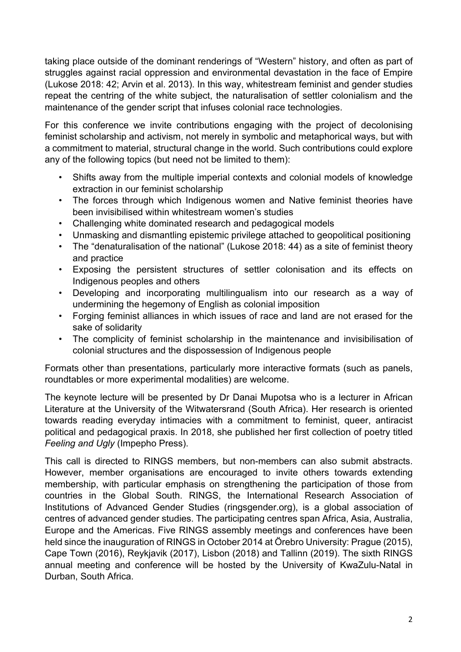taking place outside of the dominant renderings of "Western" history, and often as part of struggles against racial oppression and environmental devastation in the face of Empire (Lukose 2018: 42; Arvin et al. 2013). In this way, whitestream feminist and gender studies repeat the centring of the white subject, the naturalisation of settler colonialism and the maintenance of the gender script that infuses colonial race technologies.

For this conference we invite contributions engaging with the project of decolonising feminist scholarship and activism, not merely in symbolic and metaphorical ways, but with a commitment to material, structural change in the world. Such contributions could explore any of the following topics (but need not be limited to them):

- Shifts away from the multiple imperial contexts and colonial models of knowledge extraction in our feminist scholarship
- The forces through which Indigenous women and Native feminist theories have been invisibilised within whitestream women's studies
- Challenging white dominated research and pedagogical models
- Unmasking and dismantling epistemic privilege attached to geopolitical positioning
- The "denaturalisation of the national" (Lukose 2018: 44) as a site of feminist theory and practice
- Exposing the persistent structures of settler colonisation and its effects on Indigenous peoples and others
- Developing and incorporating multilingualism into our research as a way of undermining the hegemony of English as colonial imposition
- Forging feminist alliances in which issues of race and land are not erased for the sake of solidarity
- The complicity of feminist scholarship in the maintenance and invisibilisation of colonial structures and the dispossession of Indigenous people

Formats other than presentations, particularly more interactive formats (such as panels, roundtables or more experimental modalities) are welcome.

The keynote lecture will be presented by Dr Danai Mupotsa who is a lecturer in African Literature at the University of the Witwatersrand (South Africa). Her research is oriented towards reading everyday intimacies with a commitment to feminist, queer, antiracist political and pedagogical praxis. In 2018, she published her first collection of poetry titled *Feeling and Ugly* (Impepho Press).

This call is directed to RINGS members, but non-members can also submit abstracts. However, member organisations are encouraged to invite others towards extending membership, with particular emphasis on strengthening the participation of those from countries in the Global South. RINGS, the International Research Association of Institutions of Advanced Gender Studies (ringsgender.org), is a global association of centres of advanced gender studies. The participating centres span Africa, Asia, Australia, Europe and the Americas. Five RINGS assembly meetings and conferences have been held since the inauguration of RINGS in October 2014 at Örebro University: Prague (2015), Cape Town (2016), Reykjavik (2017), Lisbon (2018) and Tallinn (2019). The sixth RINGS annual meeting and conference will be hosted by the University of KwaZulu-Natal in Durban, South Africa.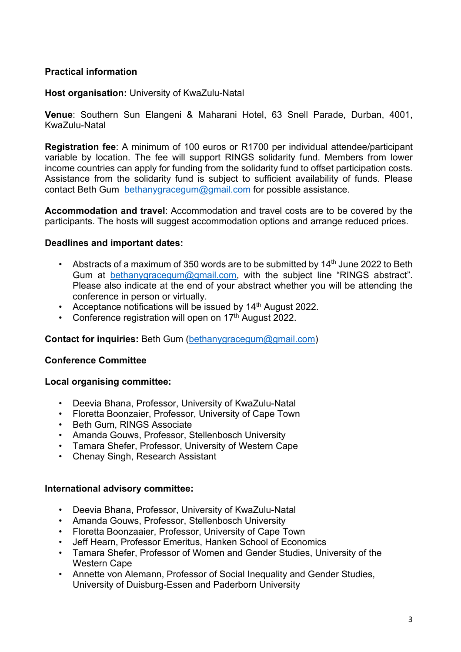### **Practical information**

### **Host organisation:** University of KwaZulu-Natal

**Venue**: Southern Sun Elangeni & Maharani Hotel, 63 Snell Parade, Durban, 4001, KwaZulu-Natal

**Registration fee**: A minimum of 100 euros or R1700 per individual attendee/participant variable by location. The fee will support RINGS solidarity fund. Members from lower income countries can apply for funding from the solidarity fund to offset participation costs. Assistance from the solidarity fund is subject to sufficient availability of funds. Please contact Beth Gum bethanygracegum@gmail.com for possible assistance.

**Accommodation and travel**: Accommodation and travel costs are to be covered by the participants. The hosts will suggest accommodation options and arrange reduced prices.

#### **Deadlines and important dates:**

- Abstracts of a maximum of 350 words are to be submitted by  $14<sup>th</sup>$  June 2022 to Beth Gum at bethanygracegum@gmail.com, with the subject line "RINGS abstract". Please also indicate at the end of your abstract whether you will be attending the conference in person or virtually.
- Acceptance notifications will be issued by 14<sup>th</sup> August 2022.
- Conference registration will open on  $17<sup>th</sup>$  August 2022.

#### **Contact for inquiries:** Beth Gum (bethanygracegum@gmail.com)

#### **Conference Committee**

#### **Local organising committee:**

- Deevia Bhana, Professor, University of KwaZulu-Natal
- Floretta Boonzaier, Professor, University of Cape Town
- Beth Gum, RINGS Associate
- Amanda Gouws, Professor, Stellenbosch University
- Tamara Shefer, Professor, University of Western Cape
- Chenay Singh, Research Assistant

#### **International advisory committee:**

- Deevia Bhana, Professor, University of KwaZulu-Natal
- Amanda Gouws, Professor, Stellenbosch University
- Floretta Boonzaaier, Professor, University of Cape Town
- Jeff Hearn, Professor Emeritus, Hanken School of Economics
- Tamara Shefer, Professor of Women and Gender Studies, University of the Western Cape
- Annette von Alemann, Professor of Social Inequality and Gender Studies, University of Duisburg-Essen and Paderborn University